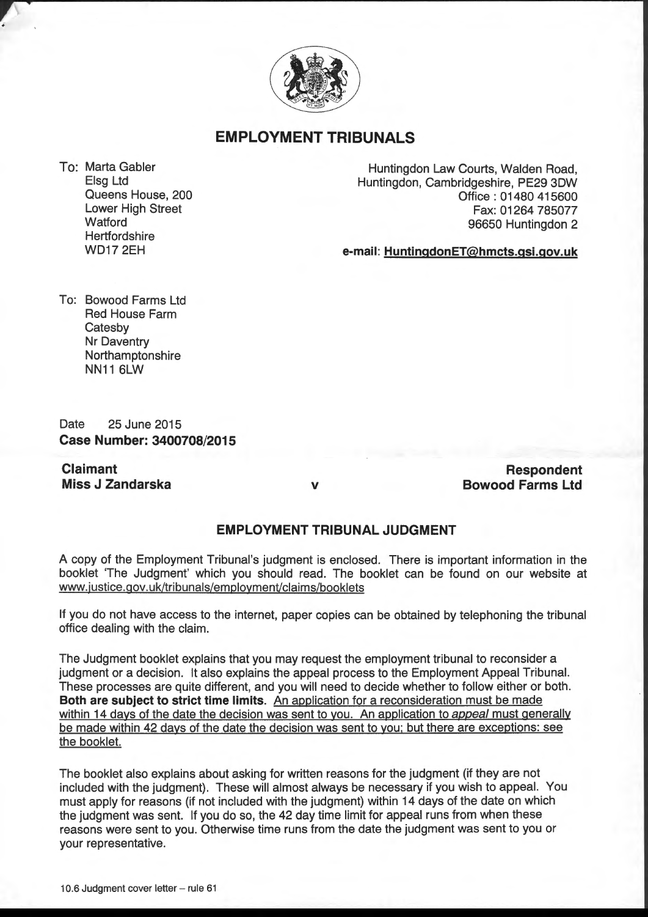

### **EMPLOYMENT TRIBUNALS**

To: Marta Gabler Elsg Ltd Queens House, 200 Lower High Street **Watford Hertfordshire** WD17 2EH

Huntingdon Law Courts, Walden Road, Huntingdon, Cambridgeshire, PE29 3DW Office: 01480 415600 Fax: 01264 785077 96650 Huntingdon 2

**e-mail: HuntingdonET@hmcts.gsi.gov.uk** 

To: Bowood Farms Ltd Red House Farm **Catesby** Nr Daventry Northamptonshire NN11 6LW

Date 25 June 2015 **Case Number: 3400708/2015** 

**Claimant Miss J Zandarska** 

**Respondent Bowood Farms Ltd** 

#### **EMPLOYMENT TRIBUNAL JUDGMENT**

A copy of the Employment Tribunal's judgment is enclosed. There is important information in the booklet 'The Judgment' which you should read. The booklet can be found on our website at www.justice.gov.uk/tribunals/employment/claims/booklets

If you do not have access to the internet, paper copies can be obtained by telephoning the tribunal office dealing with the claim.

The Judgment booklet explains that you may request the employment tribunal to reconsider a judgment or a decision. It also explains the appeal process to the Employment Appeal Tribunal. These processes are quite different, and you will need to decide whether to follow either or both. **Both are subject to strict time limits.** An application for a reconsideration must be made within 14 days of the date the decision was sent to you. An application to appeal must generally be made within 42 days of the date the decision was sent to you; but there are exceptions: see the booklet.

The booklet also explains about asking for written reasons for the judgment (if they are not included with the judgment). These will almost always be necessary if you wish to appeal. You must apply for reasons (if not included with the judgment) within 14 days of the date on which the judgment was sent. If you do so, the 42 day time limit for appeal runs from when these reasons were sent to you. Otherwise time runs from the date the judgment was sent to you or your representative.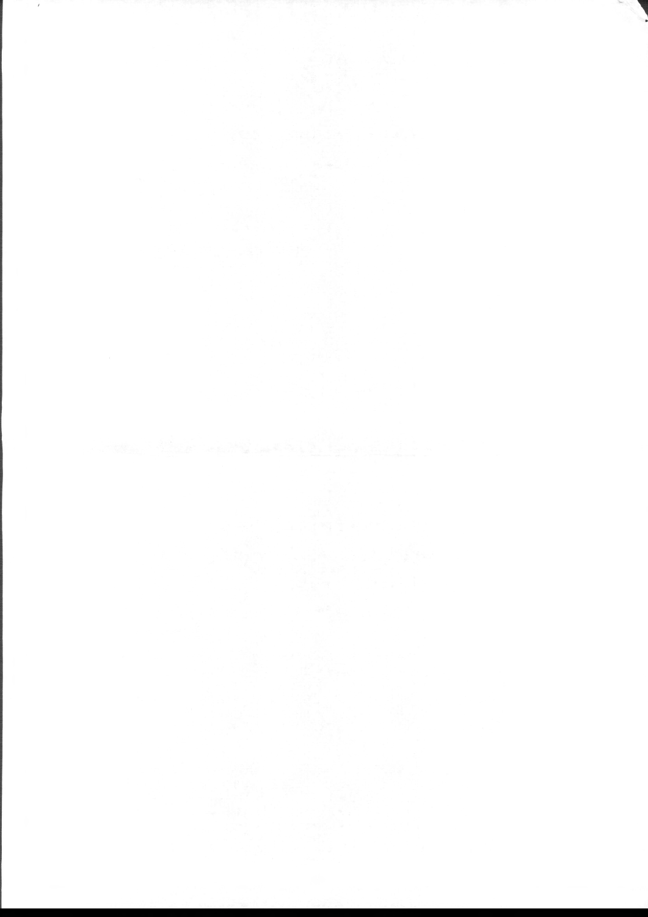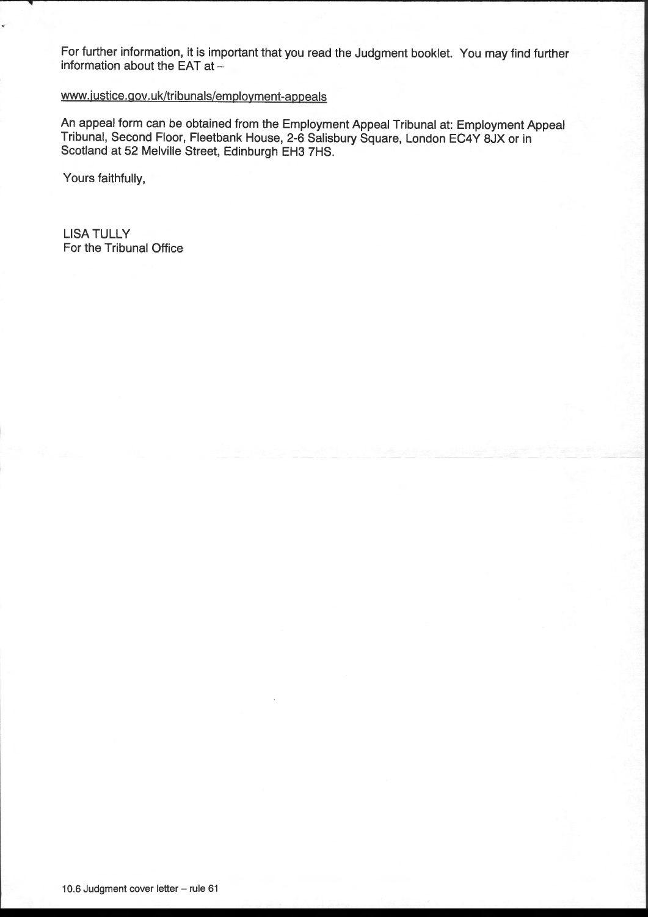For further information, it is important that you read the Judgment booklet. You may find further information about the EAT at  $-$ 

### www. justice.qov.uk/tribunals/employment-appeals

An appeal form can be obtained from the Employment Appeal Tribunal at: Employment Appeal Tribunal, Second Floor, Fleetbank House, 2-6 Salisbury Square, London EC4Y 8JX or in Scotland at 52 Melville Street, Edinburgh EH3 7HS.

Yours faithfully,

LISA TULLY For the Tribunal Office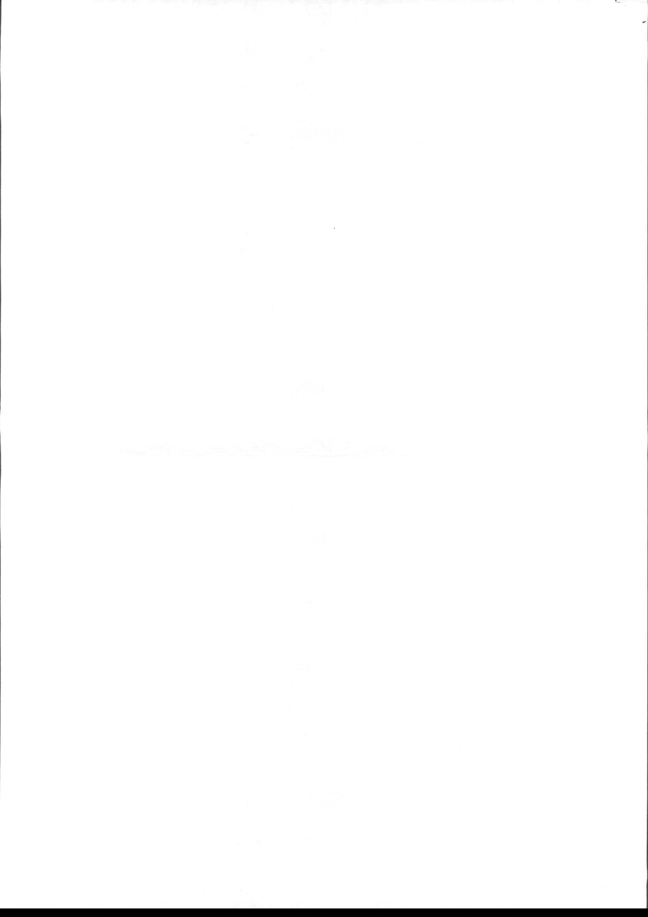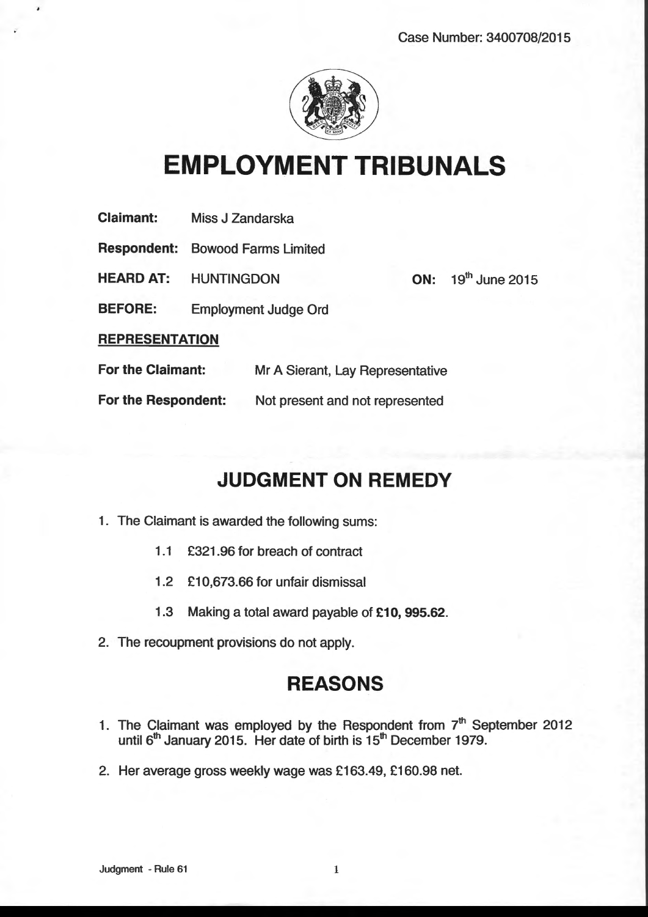

# **EMPLOYMENT TRIBUNALS**

**Claimant:** Miss J Zandarska

**Respondent:** Bowood Farms Limited

**HEARD AT:** HUNTINGDON **ON:**  $19^{th}$  June 2015

**BEFORE:** Employment Judge Ord

**REPRESENTATION** 

**For the Claimant:** Mr A Sierant, Lay Representative

**For the Respondent:** Not present and not represented

## **JUDGMENT ON REMEDY**

- 1. The Claimant is awarded the following sums:
	- 1.1 £321.96 for breach of contract
	- 1.2 £10,673.66 for unfair dismissal
	- 1.3 Making a total award payable of **£10, 995.62.**
- 2. The recoupment provisions do not apply.

## **REASONS**

- 1. The Claimant was employed by the Respondent from  $7<sup>th</sup>$  September 2012 until 6<sup>th</sup> January 2015. Her date of birth is 15<sup>th</sup> December 1979.
- 2. Her average gross weekly wage was £163.49, £160.98 net.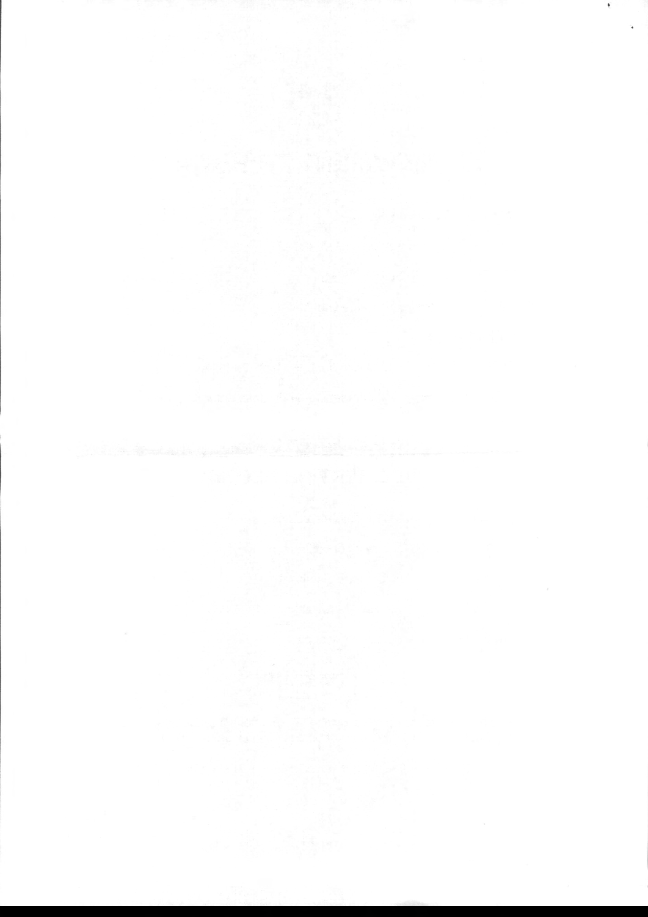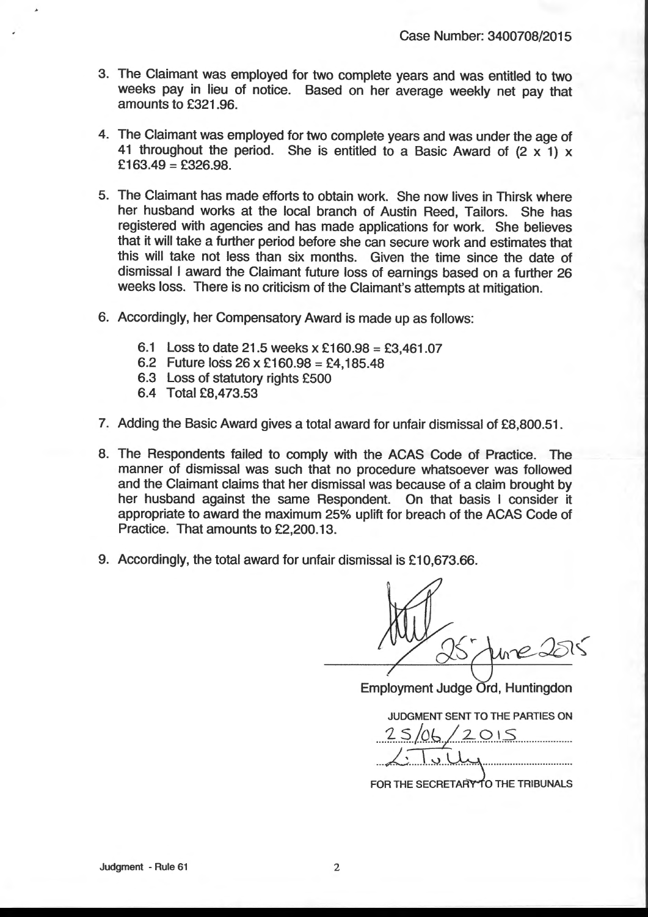- 3. The Claimant was employed for two complete years and was entitled to two weeks pay in lieu of notice. Based on her average weekly net pay that amounts to £321.96.
- 4. The Claimant was employed for two complete years and was under the age of 41 throughout the period. She is entitled to a Basic Award of  $(2 \times 1) \times$  $£163.49 = £326.98$
- 5. The Claimant has made efforts to obtain work. She now lives in Thirsk where her husband works at the local branch of Austin Reed, Tailors. She has registered with agencies and has made applications for work. She believes that it will take a further period before she can secure work and estimates that this will take not less than six months. Given the time since the date of dismissal I award the Claimant future loss of earnings based on a further 26 weeks loss. There is no criticism of the Claimant's attempts at mitigation.
- 6. Accordingly, her Compensatory Award is made up as follows:
	- 6.1 Loss to date 21.5 weeks x £160.98 = £3,461.07
	- 6.2 Future loss 26 x £160.98 = £4,185.48
	- 6.3 Loss of statutory rights £500
	- 6.4 Total £8,473.53
- 7. Adding the Basic Award gives a total award for unfair dismissal of £8,800.51.
- 8. The Respondents failed to comply with the ACAS Code of Practice. The manner of dismissal was such that no procedure whatsoever was followed and the Claimant claims that her dismissal was because of a claim brought by her husband against the same Respondent. On that basis I consider it appropriate to award the maximum 25% uplift for breach of the ACAS Code of Practice. That amounts to £2,200.13.
- 9. Accordingly, the total award for unfair dismissal is £10,673.66.

 $ure$ 

Employment Judge Ord, Huntingdon

JUDGMENT SENT TO THE PARTIES ON  $5/06.$  $2.906 / 2012$ 

FOR THE SECRETARY TO THE TRIBUNALS